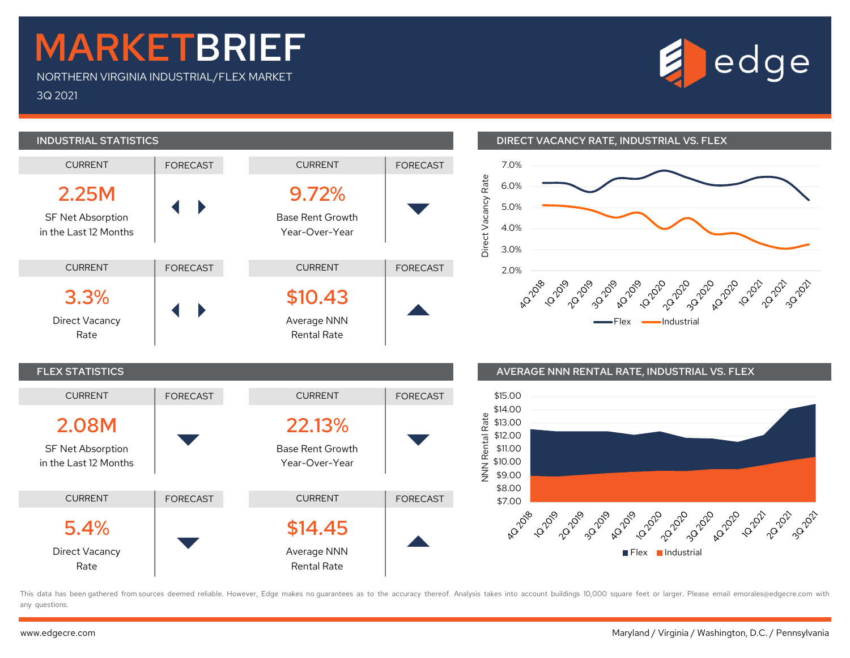## MARKETBRIEF

NORTHERN VIRGINIA INDUSTRIAL/FLEX MARKET 3Q 2021





## INDUSTRIAL STATISTICS DIRECT VACANCY RATE, INDUSTRIAL VS. FLEX





This data has been gathered from sources deemed reliable. However, Edge makes no quarantees as to the accuracy thereof. Analysis takes into account buildings 10,000 square feet or larger. Please email emorales@edgecre.com any questions.